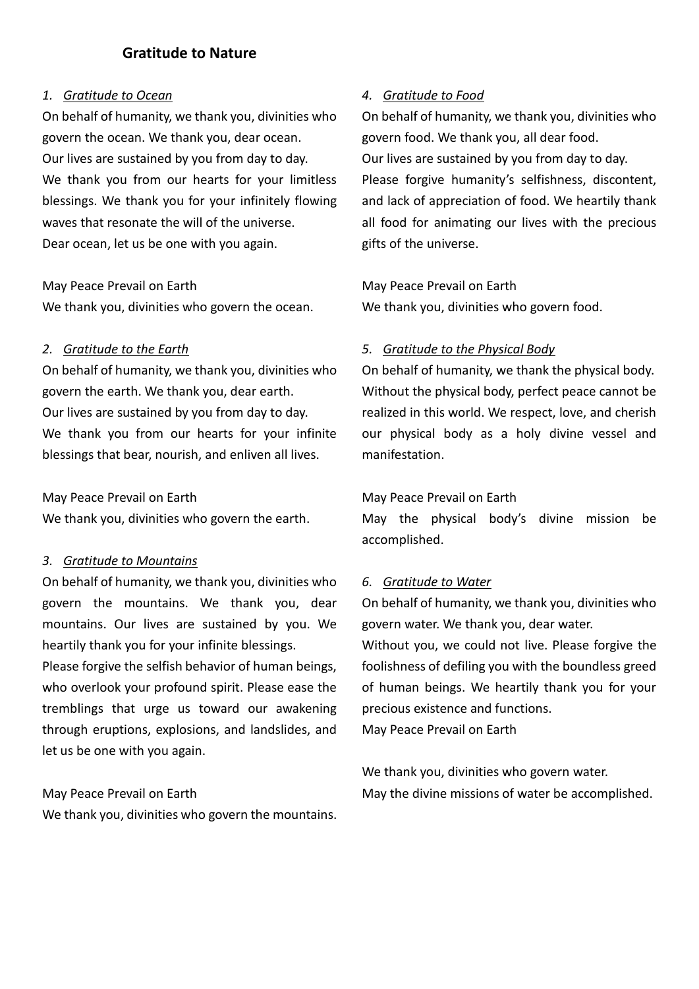# **Gratitude to Nature**

### *1. Gratitude to Ocean*

On behalf of humanity, we thank you, divinities who govern the ocean. We thank you, dear ocean. Our lives are sustained by you from day to day. We thank you from our hearts for your limitless blessings. We thank you for your infinitely flowing waves that resonate the will of the universe. Dear ocean, let us be one with you again.

May Peace Prevail on Earth We thank you, divinities who govern the ocean.

### *2. Gratitude to the Earth*

On behalf of humanity, we thank you, divinities who govern the earth. We thank you, dear earth. Our lives are sustained by you from day to day. We thank you from our hearts for your infinite blessings that bear, nourish, and enliven all lives.

### May Peace Prevail on Earth

We thank you, divinities who govern the earth.

### *3. Gratitude to Mountains*

On behalf of humanity, we thank you, divinities who govern the mountains. We thank you, dear mountains. Our lives are sustained by you. We heartily thank you for your infinite blessings.

Please forgive the selfish behavior of human beings, who overlook your profound spirit. Please ease the tremblings that urge us toward our awakening through eruptions, explosions, and landslides, and let us be one with you again.

### May Peace Prevail on Earth

We thank you, divinities who govern the mountains.

# *4. Gratitude to Food*

On behalf of humanity, we thank you, divinities who govern food. We thank you, all dear food. Our lives are sustained by you from day to day. Please forgive humanity's selfishness, discontent, and lack of appreciation of food. We heartily thank all food for animating our lives with the precious gifts of the universe.

May Peace Prevail on Earth We thank you, divinities who govern food.

# *5. Gratitude to the Physical Body*

On behalf of humanity, we thank the physical body. Without the physical body, perfect peace cannot be realized in this world. We respect, love, and cherish our physical body as a holy divine vessel and manifestation.

### May Peace Prevail on Earth

May the physical body's divine mission be accomplished.

# *6. Gratitude to Water*

On behalf of humanity, we thank you, divinities who govern water. We thank you, dear water.

Without you, we could not live. Please forgive the foolishness of defiling you with the boundless greed of human beings. We heartily thank you for your precious existence and functions.

May Peace Prevail on Earth

We thank you, divinities who govern water. May the divine missions of water be accomplished.